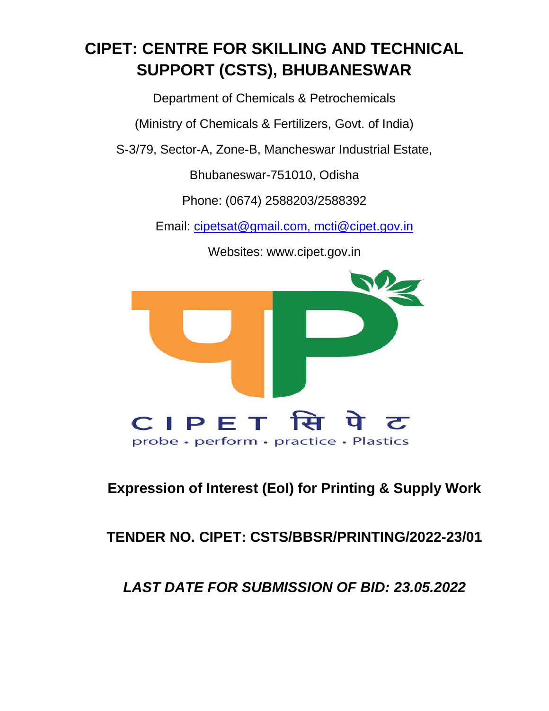# **CIPET: CENTRE FOR SKILLING AND TECHNICAL SUPPORT (CSTS), BHUBANESWAR**

Department of Chemicals & Petrochemicals

(Ministry of Chemicals & Fertilizers, Govt. of India)

S-3/79, Sector-A, Zone-B, Mancheswar Industrial Estate,

Bhubaneswar-751010, Odisha

Phone: (0674) 2588203/2588392

Email: [cipetsat@gmail.com, mcti@cipet.gov.in](mailto:cipetsat@gmail.com,%20mcti@cipet.gov.in)

Websites: www.cipet.gov.in



# **Expression of Interest (EoI) for Printing & Supply Work**

# **TENDER NO. CIPET: CSTS/BBSR/PRINTING/2022-23/01**

# *LAST DATE FOR SUBMISSION OF BID: 23.05.2022*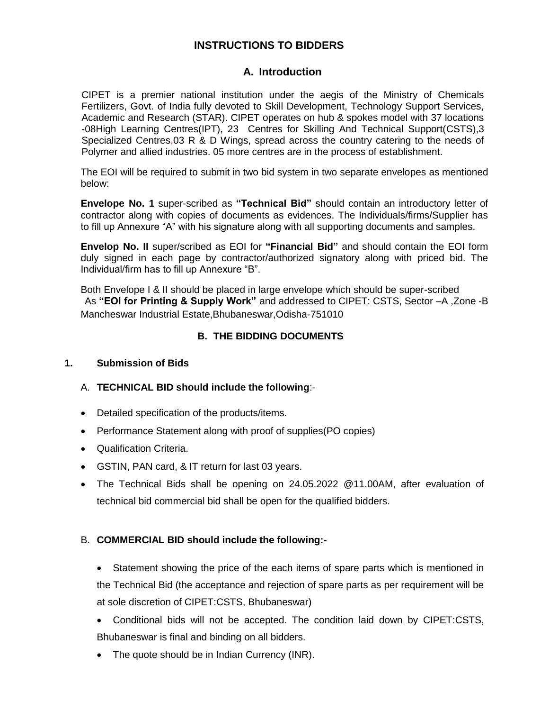#### **INSTRUCTIONS TO BIDDERS**

#### **A. Introduction**

CIPET is a premier national institution under the aegis of the Ministry of Chemicals Fertilizers, Govt. of India fully devoted to Skill Development, Technology Support Services, Academic and Research (STAR). CIPET operates on hub & spokes model with 37 locations -08High Learning Centres(IPT), 23 Centres for Skilling And Technical Support(CSTS),3 Specialized Centres,03 R & D Wings, spread across the country catering to the needs of Polymer and allied industries. 05 more centres are in the process of establishment.

The EOI will be required to submit in two bid system in two separate envelopes as mentioned below:

**Envelope No. 1** super-scribed as **"Technical Bid"** should contain an introductory letter of contractor along with copies of documents as evidences. The Individuals/firms/Supplier has to fill up Annexure "A" with his signature along with all supporting documents and samples.

**Envelop No. II** super/scribed as EOI for **"Financial Bid"** and should contain the EOI form duly signed in each page by contractor/authorized signatory along with priced bid. The Individual/firm has to fill up Annexure "B".

Both Envelope I & II should be placed in large envelope which should be super-scribed As **"EOI for Printing & Supply Work"** and addressed to CIPET: CSTS, Sector –A ,Zone -B Mancheswar Industrial Estate,Bhubaneswar,Odisha-751010

#### **B. THE BIDDING DOCUMENTS**

#### **1. Submission of Bids**

#### A. **TECHNICAL BID should include the following**:-

- Detailed specification of the products/items.
- Performance Statement along with proof of supplies(PO copies)
- Qualification Criteria.
- GSTIN, PAN card, & IT return for last 03 years.
- The Technical Bids shall be opening on 24.05.2022 @11.00AM, after evaluation of technical bid commercial bid shall be open for the qualified bidders.

#### B. **COMMERCIAL BID should include the following:-**

 Statement showing the price of the each items of spare parts which is mentioned in the Technical Bid (the acceptance and rejection of spare parts as per requirement will be at sole discretion of CIPET:CSTS, Bhubaneswar)

 Conditional bids will not be accepted. The condition laid down by CIPET:CSTS, Bhubaneswar is final and binding on all bidders.

• The quote should be in Indian Currency (INR).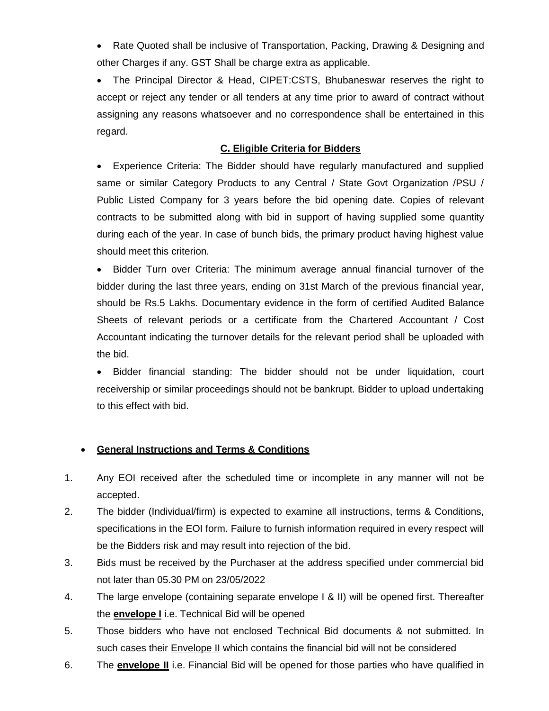• Rate Quoted shall be inclusive of Transportation, Packing, Drawing & Designing and other Charges if any. GST Shall be charge extra as applicable.

 The Principal Director & Head, CIPET:CSTS, Bhubaneswar reserves the right to accept or reject any tender or all tenders at any time prior to award of contract without assigning any reasons whatsoever and no correspondence shall be entertained in this regard.

#### **C. Eligible Criteria for Bidders**

 Experience Criteria: The Bidder should have regularly manufactured and supplied same or similar Category Products to any Central / State Govt Organization /PSU / Public Listed Company for 3 years before the bid opening date. Copies of relevant contracts to be submitted along with bid in support of having supplied some quantity during each of the year. In case of bunch bids, the primary product having highest value should meet this criterion.

 Bidder Turn over Criteria: The minimum average annual financial turnover of the bidder during the last three years, ending on 31st March of the previous financial year, should be Rs.5 Lakhs. Documentary evidence in the form of certified Audited Balance Sheets of relevant periods or a certificate from the Chartered Accountant / Cost Accountant indicating the turnover details for the relevant period shall be uploaded with the bid.

 Bidder financial standing: The bidder should not be under liquidation, court receivership or similar proceedings should not be bankrupt. Bidder to upload undertaking to this effect with bid.

#### **General Instructions and Terms & Conditions**

- 1. Any EOI received after the scheduled time or incomplete in any manner will not be accepted.
- 2. The bidder (Individual/firm) is expected to examine all instructions, terms & Conditions, specifications in the EOI form. Failure to furnish information required in every respect will be the Bidders risk and may result into rejection of the bid.
- 3. Bids must be received by the Purchaser at the address specified under commercial bid not later than 05.30 PM on 23/05/2022
- 4. The large envelope (containing separate envelope I & II) will be opened first. Thereafter the **envelope I** i.e. Technical Bid will be opened
- 5. Those bidders who have not enclosed Technical Bid documents & not submitted. In such cases their Envelope II which contains the financial bid will not be considered
- 6. The **envelope II** i.e. Financial Bid will be opened for those parties who have qualified in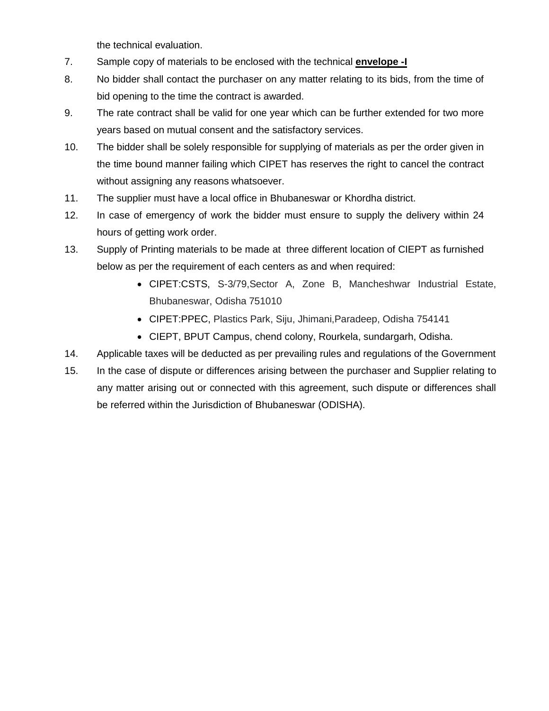the technical evaluation.

- 7. Sample copy of materials to be enclosed with the technical **envelope -I**
- 8. No bidder shall contact the purchaser on any matter relating to its bids, from the time of bid opening to the time the contract is awarded.
- 9. The rate contract shall be valid for one year which can be further extended for two more years based on mutual consent and the satisfactory services.
- 10. The bidder shall be solely responsible for supplying of materials as per the order given in the time bound manner failing which CIPET has reserves the right to cancel the contract without assigning any reasons whatsoever.
- 11. The supplier must have a local office in Bhubaneswar or Khordha district.
- 12. In case of emergency of work the bidder must ensure to supply the delivery within 24 hours of getting work order.
- 13. Supply of Printing materials to be made at three different location of CIEPT as furnished below as per the requirement of each centers as and when required:
	- CIPET:CSTS, S-3/79,Sector A, Zone B, Mancheshwar Industrial Estate, Bhubaneswar, Odisha 751010
	- CIPET:PPEC, Plastics Park, Siju, Jhimani,Paradeep, Odisha 754141
	- CIEPT, BPUT Campus, chend colony, Rourkela, sundargarh, Odisha.
- 14. Applicable taxes will be deducted as per prevailing rules and regulations of the Government
- 15. In the case of dispute or differences arising between the purchaser and Supplier relating to any matter arising out or connected with this agreement, such dispute or differences shall be referred within the Jurisdiction of Bhubaneswar (ODISHA).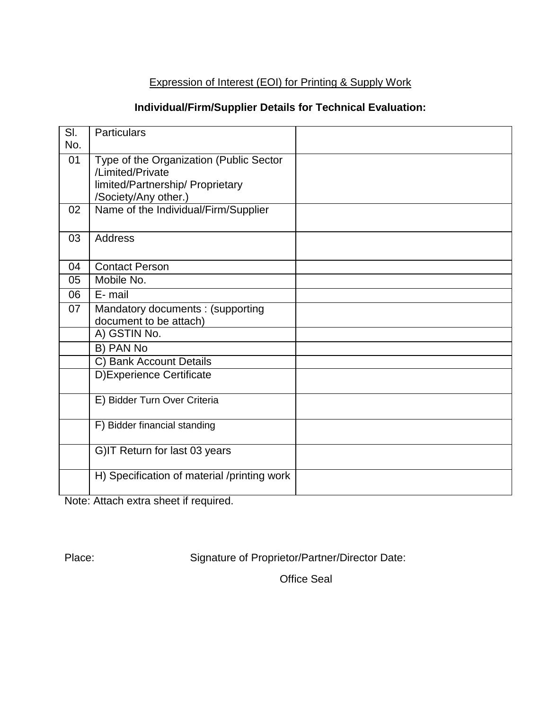### Expression of Interest (EOI) for Printing & Supply Work

### **Individual/Firm/Supplier Details for Technical Evaluation:**

| SI.<br>No. | <b>Particulars</b>                                                                                                      |  |
|------------|-------------------------------------------------------------------------------------------------------------------------|--|
| 01         | Type of the Organization (Public Sector<br>/Limited/Private<br>limited/Partnership/ Proprietary<br>/Society/Any other.) |  |
| 02         | Name of the Individual/Firm/Supplier                                                                                    |  |
| 03         | <b>Address</b>                                                                                                          |  |
| 04         | <b>Contact Person</b>                                                                                                   |  |
| 05         | Mobile No.                                                                                                              |  |
| 06         | E-mail                                                                                                                  |  |
| 07         | Mandatory documents: (supporting<br>document to be attach)                                                              |  |
|            | A) GSTIN No.                                                                                                            |  |
|            | B) PAN No                                                                                                               |  |
|            | C) Bank Account Details                                                                                                 |  |
|            | D) Experience Certificate                                                                                               |  |
|            | E) Bidder Turn Over Criteria                                                                                            |  |
|            | F) Bidder financial standing                                                                                            |  |
|            | G)IT Return for last 03 years                                                                                           |  |
|            | H) Specification of material /printing work                                                                             |  |

Note: Attach extra sheet if required.

Place: Signature of Proprietor/Partner/Director Date:

Office Seal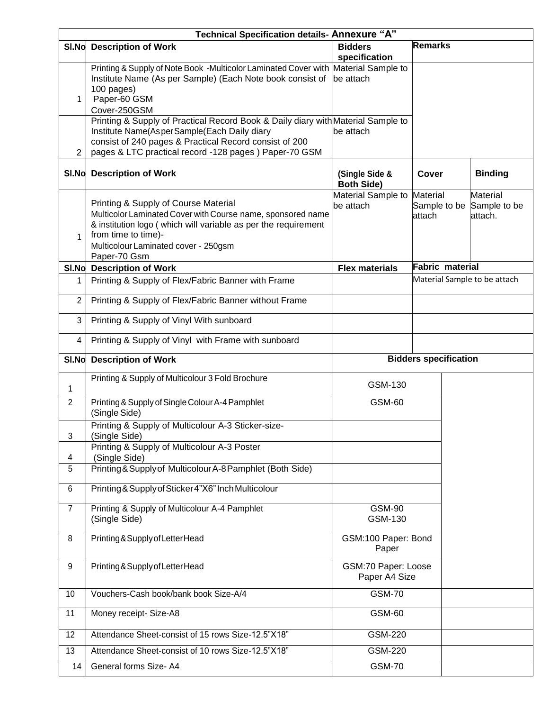| Technical Specification details- Annexure "A" |                                                                                                                                                                                                                                                      |                                      |                                           |                                     |
|-----------------------------------------------|------------------------------------------------------------------------------------------------------------------------------------------------------------------------------------------------------------------------------------------------------|--------------------------------------|-------------------------------------------|-------------------------------------|
|                                               | SI.No Description of Work                                                                                                                                                                                                                            | <b>Bidders</b><br>specification      | <b>Remarks</b>                            |                                     |
| 1.                                            | Printing & Supply of Note Book -Multicolor Laminated Cover with<br>Institute Name (As per Sample) (Each Note book consist of<br>100 pages)<br>Paper-60 GSM<br>Cover-250GSM                                                                           | Material Sample to<br>be attach      |                                           |                                     |
| $\overline{2}$                                | Printing & Supply of Practical Record Book & Daily diary with Material Sample to<br>Institute Name(AsperSample(Each Daily diary<br>consist of 240 pages & Practical Record consist of 200<br>pages & LTC practical record -128 pages ) Paper-70 GSM  | be attach                            |                                           |                                     |
|                                               | SI.No Description of Work                                                                                                                                                                                                                            | (Single Side &<br><b>Both Side)</b>  | Cover                                     | <b>Binding</b>                      |
| 1                                             | Printing & Supply of Course Material<br>Multicolor Laminated Cover with Course name, sponsored name<br>& institution logo (which will variable as per the requirement<br>from time to time)-<br>Multicolour Laminated cover - 250gsm<br>Paper-70 Gsm | Material Sample to<br>be attach      | <b>Material</b><br>Sample to be<br>attach | Material<br>Sample to be<br>attach. |
|                                               | SI.No Description of Work                                                                                                                                                                                                                            | <b>Flex materials</b>                | <b>Fabric material</b>                    |                                     |
| 1                                             | Printing & Supply of Flex/Fabric Banner with Frame                                                                                                                                                                                                   |                                      | Material Sample to be attach              |                                     |
| 2                                             | Printing & Supply of Flex/Fabric Banner without Frame                                                                                                                                                                                                |                                      |                                           |                                     |
| 3                                             | Printing & Supply of Vinyl With sunboard                                                                                                                                                                                                             |                                      |                                           |                                     |
| 4                                             | Printing & Supply of Vinyl with Frame with sunboard                                                                                                                                                                                                  |                                      |                                           |                                     |
| SI.No                                         | <b>Description of Work</b>                                                                                                                                                                                                                           | <b>Bidders specification</b>         |                                           |                                     |
| 1                                             | Printing & Supply of Multicolour 3 Fold Brochure                                                                                                                                                                                                     | GSM-130                              |                                           |                                     |
| $\overline{2}$                                | Printing & Supply of Single Colour A-4 Pamphlet<br>(Single Side)                                                                                                                                                                                     | <b>GSM-60</b>                        |                                           |                                     |
| 3                                             | Printing & Supply of Multicolour A-3 Sticker-size-<br>(Single Side)                                                                                                                                                                                  |                                      |                                           |                                     |
| 4                                             | Printing & Supply of Multicolour A-3 Poster<br>(Single Side)                                                                                                                                                                                         |                                      |                                           |                                     |
| $\overline{5}$                                | Printing & Supply of Multicolour A-8 Pamphlet (Both Side)                                                                                                                                                                                            |                                      |                                           |                                     |
| 6                                             |                                                                                                                                                                                                                                                      |                                      |                                           |                                     |
|                                               | Printing & Supply of Sticker 4"X6" Inch Multicolour                                                                                                                                                                                                  |                                      |                                           |                                     |
| $\overline{7}$                                | Printing & Supply of Multicolour A-4 Pamphlet<br>(Single Side)                                                                                                                                                                                       | <b>GSM-90</b><br>GSM-130             |                                           |                                     |
| 8                                             | Printing&Supply of Letter Head                                                                                                                                                                                                                       | GSM:100 Paper: Bond<br>Paper         |                                           |                                     |
| 9                                             | Printing&Supply of Letter Head                                                                                                                                                                                                                       | GSM:70 Paper: Loose<br>Paper A4 Size |                                           |                                     |
| 10                                            | Vouchers-Cash book/bank book Size-A/4                                                                                                                                                                                                                | <b>GSM-70</b>                        |                                           |                                     |
| 11                                            | Money receipt- Size-A8                                                                                                                                                                                                                               | GSM-60                               |                                           |                                     |
| 12                                            | Attendance Sheet-consist of 15 rows Size-12.5"X18"                                                                                                                                                                                                   | GSM-220                              |                                           |                                     |
| 13                                            | Attendance Sheet-consist of 10 rows Size-12.5"X18"                                                                                                                                                                                                   | GSM-220                              |                                           |                                     |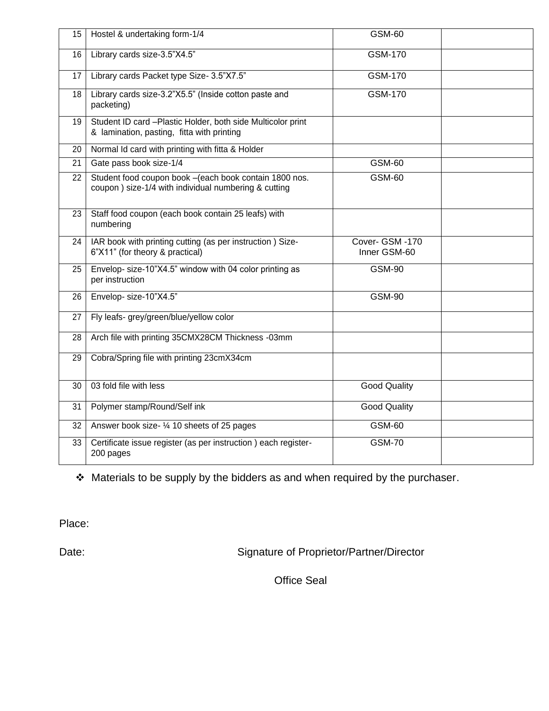| 15 | Hostel & undertaking form-1/4                                                                                  | <b>GSM-60</b>                   |  |
|----|----------------------------------------------------------------------------------------------------------------|---------------------------------|--|
| 16 | Library cards size-3.5"X4.5"                                                                                   | <b>GSM-170</b>                  |  |
| 17 | Library cards Packet type Size- 3.5"X7.5"                                                                      | <b>GSM-170</b>                  |  |
| 18 | Library cards size-3.2"X5.5" (Inside cotton paste and<br>packeting)                                            | <b>GSM-170</b>                  |  |
| 19 | Student ID card -Plastic Holder, both side Multicolor print<br>& lamination, pasting, fitta with printing      |                                 |  |
| 20 | Normal Id card with printing with fitta & Holder                                                               |                                 |  |
| 21 | Gate pass book size-1/4                                                                                        | <b>GSM-60</b>                   |  |
| 22 | Student food coupon book -(each book contain 1800 nos.<br>coupon) size-1/4 with individual numbering & cutting | GSM-60                          |  |
| 23 | Staff food coupon (each book contain 25 leafs) with<br>numbering                                               |                                 |  |
| 24 | IAR book with printing cutting (as per instruction ) Size-<br>6"X11" (for theory & practical)                  | Cover- GSM -170<br>Inner GSM-60 |  |
| 25 | Envelop- size-10"X4.5" window with 04 color printing as<br>per instruction                                     | <b>GSM-90</b>                   |  |
| 26 | Envelop-size-10"X4.5"                                                                                          | <b>GSM-90</b>                   |  |
| 27 | Fly leafs- grey/green/blue/yellow color                                                                        |                                 |  |
| 28 | Arch file with printing 35CMX28CM Thickness -03mm                                                              |                                 |  |
| 29 | Cobra/Spring file with printing 23cmX34cm                                                                      |                                 |  |
| 30 | 03 fold file with less                                                                                         | <b>Good Quality</b>             |  |
| 31 | Polymer stamp/Round/Self ink                                                                                   | <b>Good Quality</b>             |  |
| 32 | Answer book size- 1/4 10 sheets of 25 pages                                                                    | <b>GSM-60</b>                   |  |
| 33 | Certificate issue register (as per instruction) each register-<br>200 pages                                    | <b>GSM-70</b>                   |  |

Materials to be supply by the bidders as and when required by the purchaser.

Place:

Date: Date: Signature of Proprietor/Partner/Director

Office Seal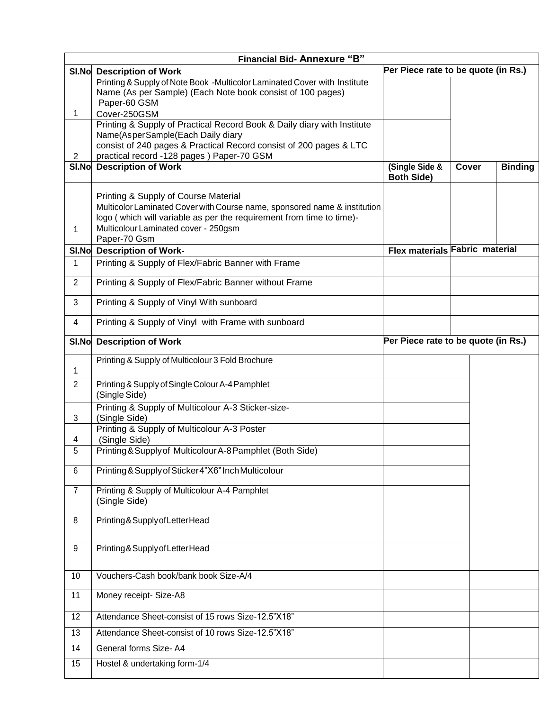| <b>Financial Bid- Annexure "B"</b> |                                                                                                                                                                                                                                   |                                     |       |                |
|------------------------------------|-----------------------------------------------------------------------------------------------------------------------------------------------------------------------------------------------------------------------------------|-------------------------------------|-------|----------------|
|                                    | SI.No Description of Work                                                                                                                                                                                                         | Per Piece rate to be quote (in Rs.) |       |                |
| 1                                  | Printing & Supply of Note Book -Multicolor Laminated Cover with Institute<br>Name (As per Sample) (Each Note book consist of 100 pages)<br>Paper-60 GSM<br>Cover-250GSM                                                           |                                     |       |                |
| 2                                  | Printing & Supply of Practical Record Book & Daily diary with Institute<br>Name(AsperSample(Each Daily diary<br>consist of 240 pages & Practical Record consist of 200 pages & LTC<br>practical record -128 pages ) Paper-70 GSM  |                                     |       |                |
| SI.No                              | <b>Description of Work</b>                                                                                                                                                                                                        | (Single Side &<br><b>Both Side)</b> | Cover | <b>Binding</b> |
| 1                                  | Printing & Supply of Course Material<br>Multicolor Laminated Cover with Course name, sponsored name & institution<br>logo (which will variable as per the requirement from time to time)-<br>Multicolour Laminated cover - 250gsm |                                     |       |                |
|                                    | Paper-70 Gsm                                                                                                                                                                                                                      |                                     |       |                |
|                                    | SI.No Description of Work-                                                                                                                                                                                                        | Flex materials Fabric material      |       |                |
| 1                                  | Printing & Supply of Flex/Fabric Banner with Frame                                                                                                                                                                                |                                     |       |                |
| $\overline{2}$                     | Printing & Supply of Flex/Fabric Banner without Frame                                                                                                                                                                             |                                     |       |                |
| 3                                  | Printing & Supply of Vinyl With sunboard                                                                                                                                                                                          |                                     |       |                |
| 4                                  | Printing & Supply of Vinyl with Frame with sunboard                                                                                                                                                                               |                                     |       |                |
| SI.No                              | <b>Description of Work</b>                                                                                                                                                                                                        | Per Piece rate to be quote (in Rs.) |       |                |
| 1                                  | Printing & Supply of Multicolour 3 Fold Brochure                                                                                                                                                                                  |                                     |       |                |
| $\overline{2}$                     | Printing & Supply of Single Colour A-4 Pamphlet<br>(Single Side)                                                                                                                                                                  |                                     |       |                |
| 3                                  | Printing & Supply of Multicolour A-3 Sticker-size-<br>(Single Side)                                                                                                                                                               |                                     |       |                |
| 4                                  | Printing & Supply of Multicolour A-3 Poster<br>(Single Side)                                                                                                                                                                      |                                     |       |                |
| 5                                  | Printing & Supply of Multicolour A-8 Pamphlet (Both Side)                                                                                                                                                                         |                                     |       |                |
| 6                                  | Printing & Supply of Sticker 4"X6" Inch Multicolour                                                                                                                                                                               |                                     |       |                |
| $\overline{7}$                     | Printing & Supply of Multicolour A-4 Pamphlet<br>(Single Side)                                                                                                                                                                    |                                     |       |                |
| 8                                  | Printing&Supply of Letter Head                                                                                                                                                                                                    |                                     |       |                |
| 9                                  | Printing&Supply of Letter Head                                                                                                                                                                                                    |                                     |       |                |
| 10                                 | Vouchers-Cash book/bank book Size-A/4                                                                                                                                                                                             |                                     |       |                |
| 11                                 | Money receipt- Size-A8                                                                                                                                                                                                            |                                     |       |                |
| 12                                 | Attendance Sheet-consist of 15 rows Size-12.5"X18"                                                                                                                                                                                |                                     |       |                |
| 13                                 | Attendance Sheet-consist of 10 rows Size-12.5"X18"                                                                                                                                                                                |                                     |       |                |
| 14                                 | General forms Size-A4                                                                                                                                                                                                             |                                     |       |                |
| 15                                 | Hostel & undertaking form-1/4                                                                                                                                                                                                     |                                     |       |                |